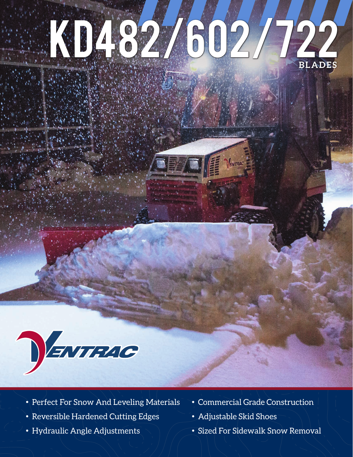## KD482/602/ **BLADES**



- Perfect For Snow And Leveling Materials Commercial Grade Construction
- Reversible Hardened Cutting Edges Adjustable Skid Shoes
- 
- 
- 
- Hydraulic Angle Adjustments  $\searrow$   $\searrow$   $\sim$  Sized For Sidewalk Snow Removal